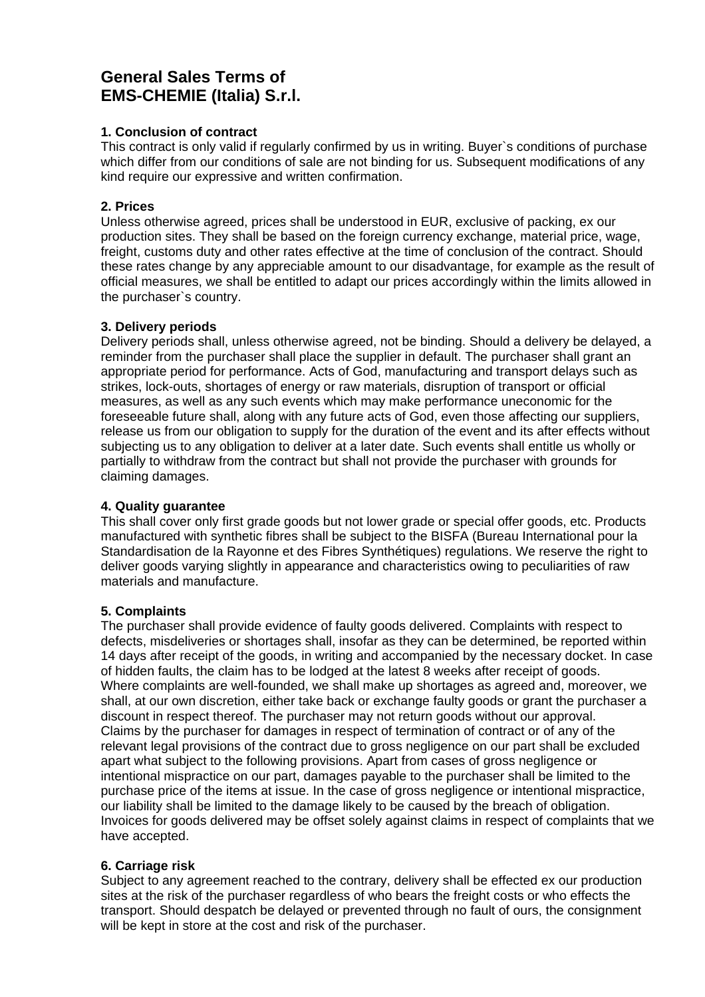# **General Sales Terms of EMS-CHEMIE (Italia) S.r.l.**

## **1. Conclusion of contract**

This contract is only valid if regularly confirmed by us in writing. Buyer`s conditions of purchase which differ from our conditions of sale are not binding for us. Subsequent modifications of any kind require our expressive and written confirmation.

## **2. Prices**

Unless otherwise agreed, prices shall be understood in EUR, exclusive of packing, ex our production sites. They shall be based on the foreign currency exchange, material price, wage, freight, customs duty and other rates effective at the time of conclusion of the contract. Should these rates change by any appreciable amount to our disadvantage, for example as the result of official measures, we shall be entitled to adapt our prices accordingly within the limits allowed in the purchaser`s country.

## **3. Delivery periods**

Delivery periods shall, unless otherwise agreed, not be binding. Should a delivery be delayed, a reminder from the purchaser shall place the supplier in default. The purchaser shall grant an appropriate period for performance. Acts of God, manufacturing and transport delays such as strikes, lock-outs, shortages of energy or raw materials, disruption of transport or official measures, as well as any such events which may make performance uneconomic for the foreseeable future shall, along with any future acts of God, even those affecting our suppliers, release us from our obligation to supply for the duration of the event and its after effects without subjecting us to any obligation to deliver at a later date. Such events shall entitle us wholly or partially to withdraw from the contract but shall not provide the purchaser with grounds for claiming damages.

## **4. Quality guarantee**

This shall cover only first grade goods but not lower grade or special offer goods, etc. Products manufactured with synthetic fibres shall be subject to the BISFA (Bureau International pour la Standardisation de la Rayonne et des Fibres Synthétiques) regulations. We reserve the right to deliver goods varying slightly in appearance and characteristics owing to peculiarities of raw materials and manufacture.

# **5. Complaints**

The purchaser shall provide evidence of faulty goods delivered. Complaints with respect to defects, misdeliveries or shortages shall, insofar as they can be determined, be reported within 14 days after receipt of the goods, in writing and accompanied by the necessary docket. In case of hidden faults, the claim has to be lodged at the latest 8 weeks after receipt of goods. Where complaints are well-founded, we shall make up shortages as agreed and, moreover, we shall, at our own discretion, either take back or exchange faulty goods or grant the purchaser a discount in respect thereof. The purchaser may not return goods without our approval. Claims by the purchaser for damages in respect of termination of contract or of any of the relevant legal provisions of the contract due to gross negligence on our part shall be excluded apart what subject to the following provisions. Apart from cases of gross negligence or intentional mispractice on our part, damages payable to the purchaser shall be limited to the purchase price of the items at issue. In the case of gross negligence or intentional mispractice, our liability shall be limited to the damage likely to be caused by the breach of obligation. Invoices for goods delivered may be offset solely against claims in respect of complaints that we have accepted.

## **6. Carriage risk**

Subject to any agreement reached to the contrary, delivery shall be effected ex our production sites at the risk of the purchaser regardless of who bears the freight costs or who effects the transport. Should despatch be delayed or prevented through no fault of ours, the consignment will be kept in store at the cost and risk of the purchaser.